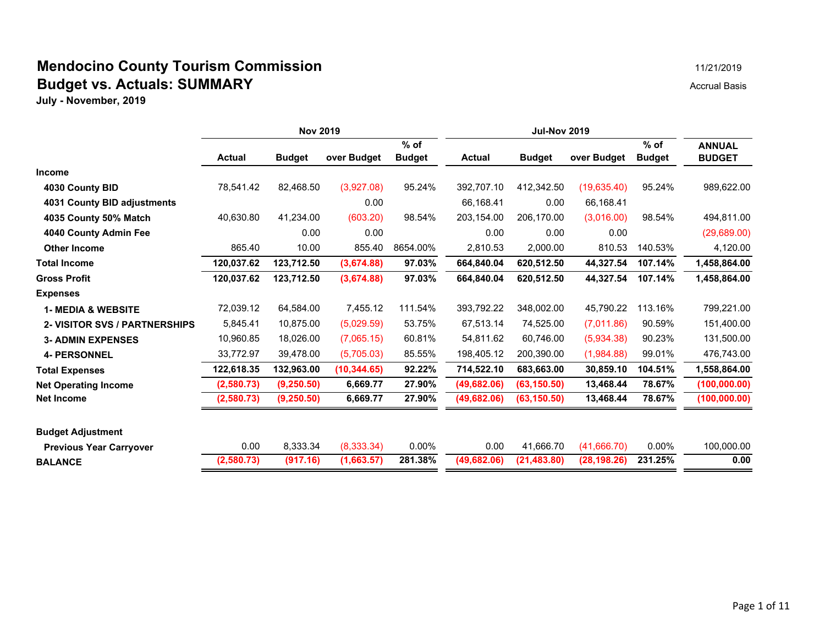#### **Mendocino County Tourism Commission** 11/21/2019 11/21/2019 **Budget vs. Actuals: SUMMARY Accrual Basis** Accrual Basis

|                                      | <b>Nov 2019</b> |               |              |               | <b>Jul-Nov 2019</b> |               |              |               |               |
|--------------------------------------|-----------------|---------------|--------------|---------------|---------------------|---------------|--------------|---------------|---------------|
|                                      |                 |               |              | $%$ of        |                     |               |              | $%$ of        | <b>ANNUAL</b> |
|                                      | <b>Actual</b>   | <b>Budget</b> | over Budget  | <b>Budget</b> | <b>Actual</b>       | <b>Budget</b> | over Budget  | <b>Budget</b> | <b>BUDGET</b> |
| <b>Income</b>                        |                 |               |              |               |                     |               |              |               |               |
| 4030 County BID                      | 78,541.42       | 82,468.50     | (3,927.08)   | 95.24%        | 392,707.10          | 412,342.50    | (19,635.40)  | 95.24%        | 989,622.00    |
| 4031 County BID adjustments          |                 |               | 0.00         |               | 66,168.41           | 0.00          | 66,168.41    |               |               |
| 4035 County 50% Match                | 40,630.80       | 41,234.00     | (603.20)     | 98.54%        | 203,154.00          | 206,170.00    | (3,016.00)   | 98.54%        | 494,811.00    |
| 4040 County Admin Fee                |                 | 0.00          | 0.00         |               | 0.00                | 0.00          | 0.00         |               | (29,689.00)   |
| <b>Other Income</b>                  | 865.40          | 10.00         | 855.40       | 8654.00%      | 2,810.53            | 2,000.00      | 810.53       | 140.53%       | 4,120.00      |
| <b>Total Income</b>                  | 120,037.62      | 123,712.50    | (3,674.88)   | 97.03%        | 664,840.04          | 620,512.50    | 44,327.54    | 107.14%       | 1,458,864.00  |
| <b>Gross Profit</b>                  | 120,037.62      | 123,712.50    | (3,674.88)   | 97.03%        | 664,840.04          | 620,512.50    | 44,327.54    | 107.14%       | 1,458,864.00  |
| <b>Expenses</b>                      |                 |               |              |               |                     |               |              |               |               |
| <b>1- MEDIA &amp; WEBSITE</b>        | 72,039.12       | 64,584.00     | 7,455.12     | 111.54%       | 393,792.22          | 348,002.00    | 45,790.22    | 113.16%       | 799,221.00    |
| <b>2- VISITOR SVS / PARTNERSHIPS</b> | 5,845.41        | 10,875.00     | (5,029.59)   | 53.75%        | 67,513.14           | 74,525.00     | (7,011.86)   | 90.59%        | 151,400.00    |
| <b>3- ADMIN EXPENSES</b>             | 10,960.85       | 18,026.00     | (7,065.15)   | 60.81%        | 54,811.62           | 60.746.00     | (5,934.38)   | 90.23%        | 131,500.00    |
| <b>4- PERSONNEL</b>                  | 33,772.97       | 39,478.00     | (5,705.03)   | 85.55%        | 198,405.12          | 200,390.00    | (1,984.88)   | 99.01%        | 476,743.00    |
| <b>Total Expenses</b>                | 122,618.35      | 132,963.00    | (10, 344.65) | 92.22%        | 714,522.10          | 683,663.00    | 30,859.10    | 104.51%       | 1,558,864.00  |
| <b>Net Operating Income</b>          | (2,580.73)      | (9, 250.50)   | 6,669.77     | 27.90%        | (49,682.06)         | (63, 150.50)  | 13,468.44    | 78.67%        | (100,000.00)  |
| <b>Net Income</b>                    | (2,580.73)      | (9,250.50)    | 6,669.77     | 27.90%        | (49, 682.06)        | (63, 150.50)  | 13,468.44    | 78.67%        | (100,000.00)  |
| <b>Budget Adjustment</b>             |                 |               |              |               |                     |               |              |               |               |
| <b>Previous Year Carryover</b>       | 0.00            | 8,333.34      | (8,333.34)   | $0.00\%$      | 0.00                | 41,666.70     | (41,666.70)  | $0.00\%$      | 100,000.00    |
| <b>BALANCE</b>                       | (2,580.73)      | (917.16)      | (1,663.57)   | 281.38%       | (49, 682.06)        | (21, 483.80)  | (28, 198.26) | 231.25%       | 0.00          |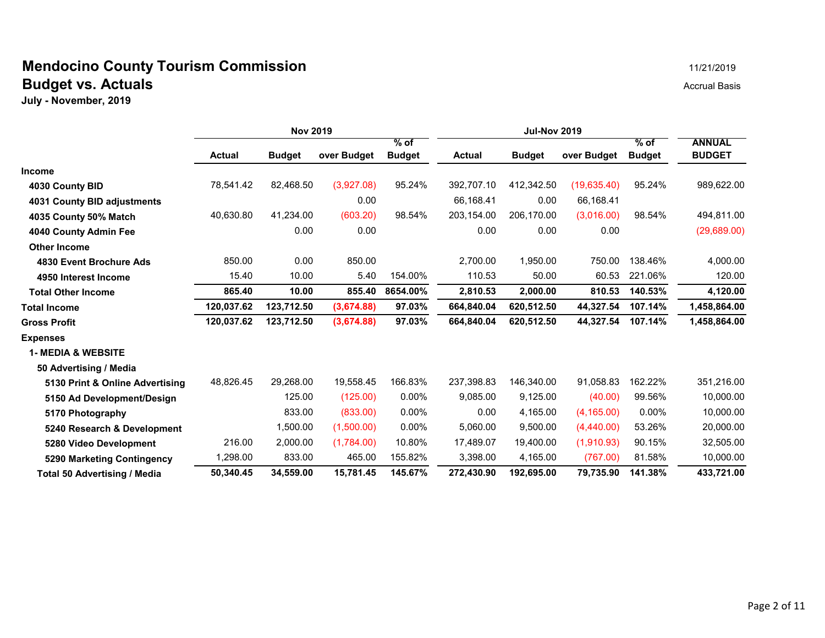#### **Mendocino County Tourism Commission** 11/21/2019 **Budget vs. Actuals** Accrual Basis Accrual Basis

|                                 | <b>Nov 2019</b> |               |             |                         | <b>Jul-Nov 2019</b> |               |              |                         |                                |
|---------------------------------|-----------------|---------------|-------------|-------------------------|---------------------|---------------|--------------|-------------------------|--------------------------------|
|                                 | <b>Actual</b>   | <b>Budget</b> | over Budget | $%$ of<br><b>Budget</b> | <b>Actual</b>       | <b>Budget</b> | over Budget  | $%$ of<br><b>Budget</b> | <b>ANNUAL</b><br><b>BUDGET</b> |
| <b>Income</b>                   |                 |               |             |                         |                     |               |              |                         |                                |
| 4030 County BID                 | 78,541.42       | 82,468.50     | (3,927.08)  | 95.24%                  | 392,707.10          | 412,342.50    | (19, 635.40) | 95.24%                  | 989,622.00                     |
| 4031 County BID adjustments     |                 |               | 0.00        |                         | 66,168.41           | 0.00          | 66,168.41    |                         |                                |
| 4035 County 50% Match           | 40,630.80       | 41,234.00     | (603.20)    | 98.54%                  | 203,154.00          | 206,170.00    | (3,016.00)   | 98.54%                  | 494,811.00                     |
| 4040 County Admin Fee           |                 | 0.00          | 0.00        |                         | 0.00                | 0.00          | 0.00         |                         | (29,689.00)                    |
| <b>Other Income</b>             |                 |               |             |                         |                     |               |              |                         |                                |
| 4830 Event Brochure Ads         | 850.00          | 0.00          | 850.00      |                         | 2,700.00            | 1,950.00      | 750.00       | 138.46%                 | 4,000.00                       |
| 4950 Interest Income            | 15.40           | 10.00         | 5.40        | 154.00%                 | 110.53              | 50.00         | 60.53        | 221.06%                 | 120.00                         |
| <b>Total Other Income</b>       | 865.40          | 10.00         | 855.40      | 8654.00%                | 2,810.53            | 2,000.00      | 810.53       | 140.53%                 | 4,120.00                       |
| Total Income                    | 120,037.62      | 123,712.50    | (3,674.88)  | 97.03%                  | 664,840.04          | 620,512.50    | 44,327.54    | 107.14%                 | 1,458,864.00                   |
| <b>Gross Profit</b>             | 120,037.62      | 123,712.50    | (3,674.88)  | 97.03%                  | 664,840.04          | 620,512.50    | 44,327.54    | 107.14%                 | 1,458,864.00                   |
| <b>Expenses</b>                 |                 |               |             |                         |                     |               |              |                         |                                |
| <b>1- MEDIA &amp; WEBSITE</b>   |                 |               |             |                         |                     |               |              |                         |                                |
| 50 Advertising / Media          |                 |               |             |                         |                     |               |              |                         |                                |
| 5130 Print & Online Advertising | 48,826.45       | 29,268.00     | 19,558.45   | 166.83%                 | 237,398.83          | 146,340.00    | 91,058.83    | 162.22%                 | 351,216.00                     |
| 5150 Ad Development/Design      |                 | 125.00        | (125.00)    | $0.00\%$                | 9,085.00            | 9,125.00      | (40.00)      | 99.56%                  | 10,000.00                      |
| 5170 Photography                |                 | 833.00        | (833.00)    | $0.00\%$                | 0.00                | 4,165.00      | (4, 165.00)  | $0.00\%$                | 10,000.00                      |
| 5240 Research & Development     |                 | 1,500.00      | (1,500.00)  | $0.00\%$                | 5,060.00            | 9,500.00      | (4,440.00)   | 53.26%                  | 20,000.00                      |
| 5280 Video Development          | 216.00          | 2,000.00      | (1,784.00)  | 10.80%                  | 17,489.07           | 19,400.00     | (1,910.93)   | 90.15%                  | 32,505.00                      |
| 5290 Marketing Contingency      | ,298.00         | 833.00        | 465.00      | 155.82%                 | 3,398.00            | 4,165.00      | (767.00)     | 81.58%                  | 10,000.00                      |
| Total 50 Advertising / Media    | 50,340.45       | 34.559.00     | 15,781.45   | 145.67%                 | 272,430.90          | 192,695.00    | 79,735.90    | 141.38%                 | 433,721.00                     |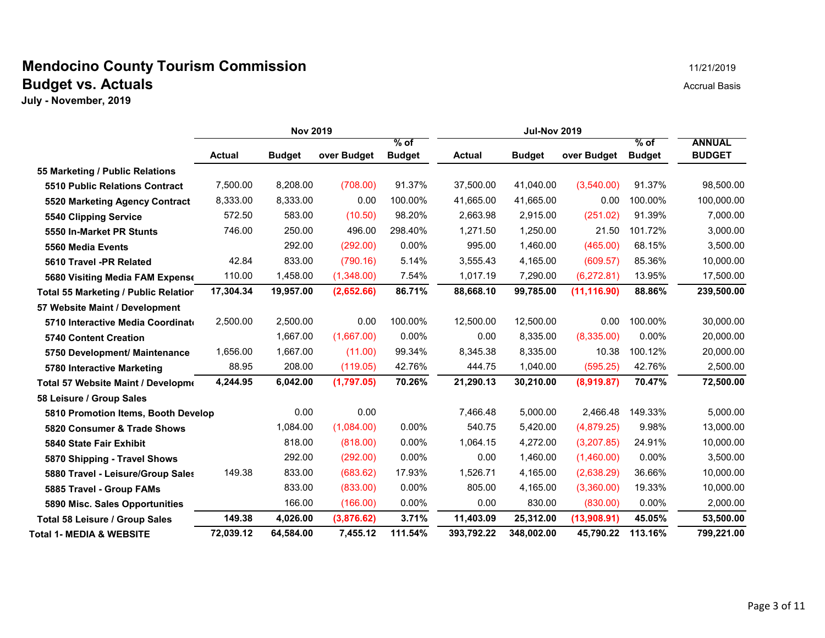## **Mendocino County Tourism Commission** 11/21/2019 11/21/2019 **Budget vs. Actuals** Accrual Basis Accrual Basis

|                                             | <b>Nov 2019</b> |               |             |                       | <b>Jul-Nov 2019</b> |               |              |                       |                                |
|---------------------------------------------|-----------------|---------------|-------------|-----------------------|---------------------|---------------|--------------|-----------------------|--------------------------------|
|                                             | <b>Actual</b>   | <b>Budget</b> | over Budget | % of<br><b>Budget</b> | <b>Actual</b>       | <b>Budget</b> | over Budget  | % of<br><b>Budget</b> | <b>ANNUAL</b><br><b>BUDGET</b> |
| 55 Marketing / Public Relations             |                 |               |             |                       |                     |               |              |                       |                                |
| <b>5510 Public Relations Contract</b>       | 7,500.00        | 8,208.00      | (708.00)    | 91.37%                | 37,500.00           | 41,040.00     | (3,540.00)   | 91.37%                | 98,500.00                      |
| 5520 Marketing Agency Contract              | 8,333.00        | 8,333.00      | 0.00        | 100.00%               | 41,665.00           | 41,665.00     | 0.00         | 100.00%               | 100,000.00                     |
| 5540 Clipping Service                       | 572.50          | 583.00        | (10.50)     | 98.20%                | 2,663.98            | 2,915.00      | (251.02)     | 91.39%                | 7,000.00                       |
| 5550 In-Market PR Stunts                    | 746.00          | 250.00        | 496.00      | 298.40%               | 1,271.50            | 1,250.00      | 21.50        | 101.72%               | 3,000.00                       |
| 5560 Media Events                           |                 | 292.00        | (292.00)    | 0.00%                 | 995.00              | 1,460.00      | (465.00)     | 68.15%                | 3,500.00                       |
| 5610 Travel -PR Related                     | 42.84           | 833.00        | (790.16)    | 5.14%                 | 3,555.43            | 4,165.00      | (609.57)     | 85.36%                | 10,000.00                      |
| 5680 Visiting Media FAM Expense             | 110.00          | 1,458.00      | (1,348.00)  | 7.54%                 | 1,017.19            | 7,290.00      | (6,272.81)   | 13.95%                | 17,500.00                      |
| <b>Total 55 Marketing / Public Relation</b> | 17,304.34       | 19,957.00     | (2,652.66)  | 86.71%                | 88,668.10           | 99,785.00     | (11, 116.90) | 88.86%                | 239,500.00                     |
| 57 Website Maint / Development              |                 |               |             |                       |                     |               |              |                       |                                |
| 5710 Interactive Media Coordinate           | 2,500.00        | 2,500.00      | 0.00        | 100.00%               | 12,500.00           | 12,500.00     | 0.00         | 100.00%               | 30,000.00                      |
| <b>5740 Content Creation</b>                |                 | 1,667.00      | (1,667.00)  | $0.00\%$              | 0.00                | 8,335.00      | (8,335.00)   | 0.00%                 | 20,000.00                      |
| 5750 Development/ Maintenance               | 1,656.00        | 1,667.00      | (11.00)     | 99.34%                | 8,345.38            | 8,335.00      | 10.38        | 100.12%               | 20,000.00                      |
| 5780 Interactive Marketing                  | 88.95           | 208.00        | (119.05)    | 42.76%                | 444.75              | 1,040.00      | (595.25)     | 42.76%                | 2,500.00                       |
| Total 57 Website Maint / Developme          | 4,244.95        | 6,042.00      | (1,797.05)  | 70.26%                | 21,290.13           | 30,210.00     | (8,919.87)   | 70.47%                | 72,500.00                      |
| 58 Leisure / Group Sales                    |                 |               |             |                       |                     |               |              |                       |                                |
| 5810 Promotion Items, Booth Develop         |                 | 0.00          | 0.00        |                       | 7,466.48            | 5,000.00      | 2,466.48     | 149.33%               | 5,000.00                       |
| 5820 Consumer & Trade Shows                 |                 | 1,084.00      | (1,084.00)  | 0.00%                 | 540.75              | 5,420.00      | (4,879.25)   | 9.98%                 | 13,000.00                      |
| 5840 State Fair Exhibit                     |                 | 818.00        | (818.00)    | $0.00\%$              | 1,064.15            | 4,272.00      | (3,207.85)   | 24.91%                | 10,000.00                      |
| 5870 Shipping - Travel Shows                |                 | 292.00        | (292.00)    | $0.00\%$              | 0.00                | 1,460.00      | (1,460.00)   | 0.00%                 | 3,500.00                       |
| 5880 Travel - Leisure/Group Sales           | 149.38          | 833.00        | (683.62)    | 17.93%                | 1,526.71            | 4,165.00      | (2,638.29)   | 36.66%                | 10,000.00                      |
| 5885 Travel - Group FAMs                    |                 | 833.00        | (833.00)    | $0.00\%$              | 805.00              | 4,165.00      | (3,360.00)   | 19.33%                | 10,000.00                      |
| 5890 Misc. Sales Opportunities              |                 | 166.00        | (166.00)    | 0.00%                 | 0.00                | 830.00        | (830.00)     | 0.00%                 | 2,000.00                       |
| Total 58 Leisure / Group Sales              | 149.38          | 4,026.00      | (3,876.62)  | 3.71%                 | 11,403.09           | 25,312.00     | (13,908.91)  | 45.05%                | 53,500.00                      |
| <b>Total 1- MEDIA &amp; WEBSITE</b>         | 72,039.12       | 64.584.00     | 7.455.12    | 111.54%               | 393,792.22          | 348.002.00    | 45,790.22    | 113.16%               | 799,221.00                     |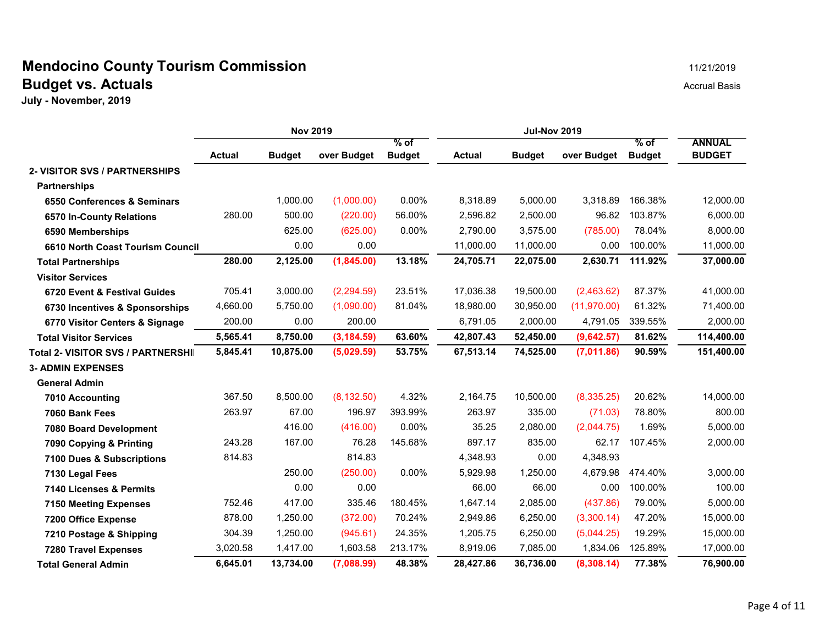#### **Mendocino County Tourism Commission** 11/21/2019 **Budget vs. Actuals** Accrual Basis Accrual Basis

|                                    | <b>Nov 2019</b> |               |             |                       | <b>Jul-Nov 2019</b> |               |             |                       |                                |
|------------------------------------|-----------------|---------------|-------------|-----------------------|---------------------|---------------|-------------|-----------------------|--------------------------------|
|                                    | <b>Actual</b>   | <b>Budget</b> | over Budget | % of<br><b>Budget</b> | <b>Actual</b>       | <b>Budget</b> | over Budget | % of<br><b>Budget</b> | <b>ANNUAL</b><br><b>BUDGET</b> |
| 2- VISITOR SVS / PARTNERSHIPS      |                 |               |             |                       |                     |               |             |                       |                                |
| <b>Partnerships</b>                |                 |               |             |                       |                     |               |             |                       |                                |
| 6550 Conferences & Seminars        |                 | 1,000.00      | (1,000.00)  | 0.00%                 | 8,318.89            | 5,000.00      | 3,318.89    | 166.38%               | 12,000.00                      |
| 6570 In-County Relations           | 280.00          | 500.00        | (220.00)    | 56.00%                | 2,596.82            | 2,500.00      | 96.82       | 103.87%               | 6,000.00                       |
| 6590 Memberships                   |                 | 625.00        | (625.00)    | 0.00%                 | 2,790.00            | 3,575.00      | (785.00)    | 78.04%                | 8,000.00                       |
| 6610 North Coast Tourism Council   |                 | 0.00          | 0.00        |                       | 11,000.00           | 11,000.00     | 0.00        | 100.00%               | 11,000.00                      |
| <b>Total Partnerships</b>          | 280.00          | 2,125.00      | (1,845.00)  | 13.18%                | 24,705.71           | 22,075.00     | 2,630.71    | 111.92%               | 37,000.00                      |
| <b>Visitor Services</b>            |                 |               |             |                       |                     |               |             |                       |                                |
| 6720 Event & Festival Guides       | 705.41          | 3,000.00      | (2, 294.59) | 23.51%                | 17,036.38           | 19,500.00     | (2,463.62)  | 87.37%                | 41,000.00                      |
| 6730 Incentives & Sponsorships     | 4,660.00        | 5,750.00      | (1,090.00)  | 81.04%                | 18,980.00           | 30,950.00     | (11,970.00) | 61.32%                | 71,400.00                      |
| 6770 Visitor Centers & Signage     | 200.00          | 0.00          | 200.00      |                       | 6,791.05            | 2,000.00      | 4,791.05    | 339.55%               | 2,000.00                       |
| <b>Total Visitor Services</b>      | 5,565.41        | 8,750.00      | (3, 184.59) | 63.60%                | 42,807.43           | 52,450.00     | (9,642.57)  | 81.62%                | 114,400.00                     |
| Total 2- VISITOR SVS / PARTNERSHII | 5,845.41        | 10,875.00     | (5,029.59)  | 53.75%                | 67,513.14           | 74,525.00     | (7,011.86)  | 90.59%                | 151,400.00                     |
| <b>3- ADMIN EXPENSES</b>           |                 |               |             |                       |                     |               |             |                       |                                |
| <b>General Admin</b>               |                 |               |             |                       |                     |               |             |                       |                                |
| 7010 Accounting                    | 367.50          | 8,500.00      | (8, 132.50) | 4.32%                 | 2,164.75            | 10,500.00     | (8,335.25)  | 20.62%                | 14,000.00                      |
| 7060 Bank Fees                     | 263.97          | 67.00         | 196.97      | 393.99%               | 263.97              | 335.00        | (71.03)     | 78.80%                | 800.00                         |
| 7080 Board Development             |                 | 416.00        | (416.00)    | $0.00\%$              | 35.25               | 2,080.00      | (2,044.75)  | 1.69%                 | 5,000.00                       |
| 7090 Copying & Printing            | 243.28          | 167.00        | 76.28       | 145.68%               | 897.17              | 835.00        | 62.17       | 107.45%               | 2,000.00                       |
| 7100 Dues & Subscriptions          | 814.83          |               | 814.83      |                       | 4,348.93            | 0.00          | 4,348.93    |                       |                                |
| 7130 Legal Fees                    |                 | 250.00        | (250.00)    | $0.00\%$              | 5,929.98            | 1,250.00      | 4,679.98    | 474.40%               | 3,000.00                       |
| 7140 Licenses & Permits            |                 | 0.00          | 0.00        |                       | 66.00               | 66.00         | 0.00        | 100.00%               | 100.00                         |
| <b>7150 Meeting Expenses</b>       | 752.46          | 417.00        | 335.46      | 180.45%               | 1,647.14            | 2,085.00      | (437.86)    | 79.00%                | 5,000.00                       |
| 7200 Office Expense                | 878.00          | 1,250.00      | (372.00)    | 70.24%                | 2,949.86            | 6,250.00      | (3,300.14)  | 47.20%                | 15,000.00                      |
| 7210 Postage & Shipping            | 304.39          | 1,250.00      | (945.61)    | 24.35%                | 1,205.75            | 6,250.00      | (5,044.25)  | 19.29%                | 15,000.00                      |
| <b>7280 Travel Expenses</b>        | 3,020.58        | 1,417.00      | 1,603.58    | 213.17%               | 8,919.06            | 7,085.00      | 1,834.06    | 125.89%               | 17,000.00                      |
| <b>Total General Admin</b>         | 6,645.01        | 13,734.00     | (7,088.99)  | 48.38%                | 28,427.86           | 36,736.00     | (8,308.14)  | 77.38%                | 76,900.00                      |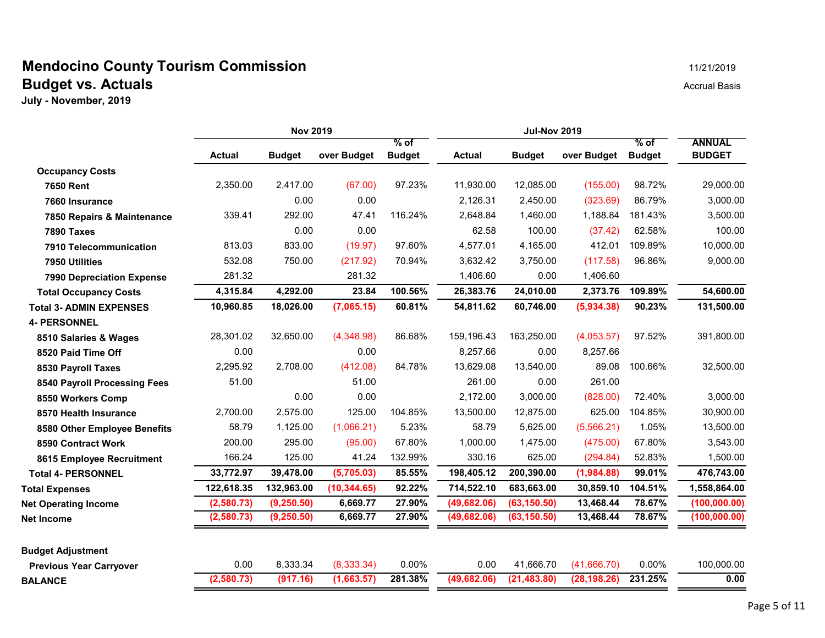#### **Mendocino County Tourism Commission** 11/21/2019 **Budget vs. Actuals** Accrual Basis Accrual Basis

| <b>Nov 2019</b><br><b>Jul-Nov 2019</b>                                                                                                           |                                |
|--------------------------------------------------------------------------------------------------------------------------------------------------|--------------------------------|
| % of<br>% of<br>over Budget<br><b>Budget</b><br>over Budget<br><b>Actual</b><br><b>Budget</b><br><b>Actual</b><br><b>Budget</b><br><b>Budget</b> | <b>ANNUAL</b><br><b>BUDGET</b> |
| <b>Occupancy Costs</b>                                                                                                                           |                                |
| 2,350.00<br>2,417.00<br>(67.00)<br>97.23%<br>11,930.00<br>12,085.00<br>(155.00)<br>98.72%<br><b>7650 Rent</b>                                    | 29,000.00                      |
| 0.00<br>0.00<br>2,126.31<br>2,450.00<br>(323.69)<br>86.79%<br>7660 Insurance                                                                     | 3,000.00                       |
| 292.00<br>47.41<br>116.24%<br>1,460.00<br>181.43%<br>339.41<br>2,648.84<br>1,188.84<br>7850 Repairs & Maintenance                                | 3,500.00                       |
| 0.00<br>0.00<br>62.58<br>100.00<br>(37.42)<br>62.58%<br>7890 Taxes                                                                               | 100.00                         |
| 813.03<br>833.00<br>97.60%<br>4,577.01<br>412.01<br>109.89%<br>(19.97)<br>4,165.00<br>7910 Telecommunication                                     | 10,000.00                      |
| 96.86%<br>532.08<br>750.00<br>(217.92)<br>70.94%<br>3,632.42<br>(117.58)<br>3,750.00<br>7950 Utilities                                           | 9,000.00                       |
| 281.32<br>281.32<br>1,406.60<br>0.00<br>1,406.60<br>7990 Depreciation Expense                                                                    |                                |
| 100.56%<br>4,315.84<br>4,292.00<br>23.84<br>26,383.76<br>24,010.00<br>2,373.76<br>109.89%<br><b>Total Occupancy Costs</b>                        | 54,600.00                      |
| 60.81%<br>90.23%<br>10,960.85<br>18,026.00<br>(7,065.15)<br>54,811.62<br>60,746.00<br>(5,934.38)<br><b>Total 3- ADMIN EXPENSES</b>               | 131,500.00                     |
| <b>4- PERSONNEL</b>                                                                                                                              |                                |
| (4,348.98)<br>86.68%<br>159,196.43<br>163,250.00<br>(4,053.57)<br>28,301.02<br>32,650.00<br>97.52%<br>8510 Salaries & Wages                      | 391,800.00                     |
| 0.00<br>0.00<br>8,257.66<br>0.00<br>8,257.66<br>8520 Paid Time Off                                                                               |                                |
| (412.08)<br>2,295.92<br>2,708.00<br>84.78%<br>13,629.08<br>13,540.00<br>89.08<br>100.66%<br>8530 Payroll Taxes                                   | 32,500.00                      |
| 51.00<br>51.00<br>261.00<br>0.00<br>261.00<br>8540 Payroll Processing Fees                                                                       |                                |
| 0.00<br>0.00<br>2,172.00<br>3,000.00<br>(828.00)<br>72.40%<br>8550 Workers Comp                                                                  | 3,000.00                       |
| 125.00<br>104.85%<br>12,875.00<br>625.00<br>104.85%<br>2,700.00<br>2,575.00<br>13,500.00<br>8570 Health Insurance                                | 30,900.00                      |
| 58.79<br>5.23%<br>58.79<br>5,625.00<br>(5,566.21)<br>1.05%<br>1,125.00<br>(1,066.21)<br>8580 Other Employee Benefits                             | 13,500.00                      |
| 200.00<br>295.00<br>(95.00)<br>67.80%<br>1,000.00<br>1,475.00<br>(475.00)<br>67.80%<br>8590 Contract Work                                        | 3,543.00                       |
| 166.24<br>125.00<br>41.24<br>132.99%<br>330.16<br>625.00<br>52.83%<br>(294.84)<br>8615 Employee Recruitment                                      | 1,500.00                       |
| 99.01%<br>33,772.97<br>39,478.00<br>(5,705.03)<br>85.55%<br>198,405.12<br>200,390.00<br>(1,984.88)<br><b>Total 4- PERSONNEL</b>                  | 476,743.00                     |
| 122,618.35<br>132,963.00<br>92.22%<br>714,522.10<br>683,663.00<br>104.51%<br>(10, 344.65)<br>30,859.10<br><b>Total Expenses</b>                  | 1,558,864.00                   |
| 78.67%<br>(2,580.73)<br>(9, 250.50)<br>6,669.77<br>27.90%<br>(63, 150.50)<br>13,468.44<br>(49, 682.06)<br><b>Net Operating Income</b>            | (100, 000.00)                  |
| 78.67%<br>(2,580.73)<br>(9,250.50)<br>27.90%<br>(49, 682.06)<br>(63, 150.50)<br>13,468.44<br>6,669.77<br><b>Net Income</b>                       | (100, 000.00)                  |
| <b>Budget Adjustment</b>                                                                                                                         |                                |
| 0.00%<br>0.00<br>8,333.34<br>(8, 333.34)<br>0.00%<br>0.00<br>41,666.70<br>(41,666.70)<br><b>Previous Year Carryover</b>                          | 100,000.00                     |
| (2,580.73)<br>281.38%<br>231.25%<br>(917.16)<br>(1,663.57)<br>(49, 682.06)<br>(21, 483.80)<br>(28, 198.26)<br><b>BALANCE</b>                     | 0.00                           |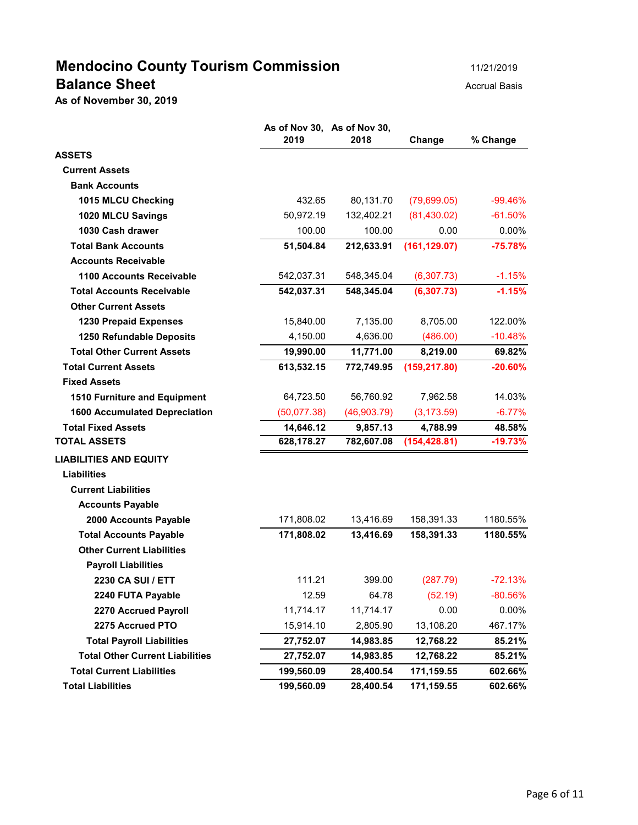# **Mendocino County Tourism Commission** 11/21/2019 **Balance Sheet** Accrual Basis **Balance Sheet**

**As of November 30, 2019**

|                                        | 2019        | As of Nov 30, As of Nov 30,<br>2018 | Change        | % Change   |
|----------------------------------------|-------------|-------------------------------------|---------------|------------|
| <b>ASSETS</b>                          |             |                                     |               |            |
| <b>Current Assets</b>                  |             |                                     |               |            |
| <b>Bank Accounts</b>                   |             |                                     |               |            |
| 1015 MLCU Checking                     | 432.65      | 80,131.70                           | (79,699.05)   | $-99.46\%$ |
| 1020 MLCU Savings                      | 50,972.19   | 132,402.21                          | (81, 430.02)  | $-61.50%$  |
| 1030 Cash drawer                       | 100.00      | 100.00                              | 0.00          | $0.00\%$   |
| <b>Total Bank Accounts</b>             | 51,504.84   | 212,633.91                          | (161, 129.07) | $-75.78%$  |
| <b>Accounts Receivable</b>             |             |                                     |               |            |
| <b>1100 Accounts Receivable</b>        | 542,037.31  | 548,345.04                          | (6,307.73)    | $-1.15%$   |
| <b>Total Accounts Receivable</b>       | 542,037.31  | 548,345.04                          | (6, 307.73)   | $-1.15%$   |
| <b>Other Current Assets</b>            |             |                                     |               |            |
| <b>1230 Prepaid Expenses</b>           | 15,840.00   | 7,135.00                            | 8,705.00      | 122.00%    |
| 1250 Refundable Deposits               | 4,150.00    | 4.636.00                            | (486.00)      | $-10.48%$  |
| <b>Total Other Current Assets</b>      | 19,990.00   | 11,771.00                           | 8,219.00      | 69.82%     |
| <b>Total Current Assets</b>            | 613,532.15  | 772,749.95                          | (159, 217.80) | $-20.60%$  |
| <b>Fixed Assets</b>                    |             |                                     |               |            |
| 1510 Furniture and Equipment           | 64,723.50   | 56,760.92                           | 7,962.58      | 14.03%     |
| <b>1600 Accumulated Depreciation</b>   | (50,077.38) | (46,903.79)                         | (3, 173.59)   | $-6.77%$   |
| <b>Total Fixed Assets</b>              | 14,646.12   | 9,857.13                            | 4,788.99      | 48.58%     |
| <b>TOTAL ASSETS</b>                    | 628,178.27  | 782,607.08                          | (154, 428.81) | $-19.73%$  |
| <b>LIABILITIES AND EQUITY</b>          |             |                                     |               |            |
| <b>Liabilities</b>                     |             |                                     |               |            |
| <b>Current Liabilities</b>             |             |                                     |               |            |
| <b>Accounts Payable</b>                |             |                                     |               |            |
| 2000 Accounts Payable                  | 171,808.02  | 13,416.69                           | 158,391.33    | 1180.55%   |
| <b>Total Accounts Payable</b>          | 171,808.02  | 13,416.69                           | 158,391.33    | 1180.55%   |
| <b>Other Current Liabilities</b>       |             |                                     |               |            |
| <b>Payroll Liabilities</b>             |             |                                     |               |            |
| <b>2230 CA SUI / ETT</b>               | 111.21      | 399.00                              | (287.79)      | $-72.13%$  |
| 2240 FUTA Payable                      | 12.59       | 64.78                               | (52.19)       | $-80.56%$  |
| 2270 Accrued Payroll                   | 11,714.17   | 11,714.17                           | 0.00          | 0.00%      |
| 2275 Accrued PTO                       | 15,914.10   | 2,805.90                            | 13,108.20     | 467.17%    |
| <b>Total Payroll Liabilities</b>       | 27,752.07   | 14,983.85                           | 12,768.22     | 85.21%     |
| <b>Total Other Current Liabilities</b> | 27,752.07   | 14,983.85                           | 12,768.22     | 85.21%     |
| <b>Total Current Liabilities</b>       | 199,560.09  | 28,400.54                           | 171,159.55    | 602.66%    |
| <b>Total Liabilities</b>               | 199,560.09  | 28,400.54                           | 171,159.55    | 602.66%    |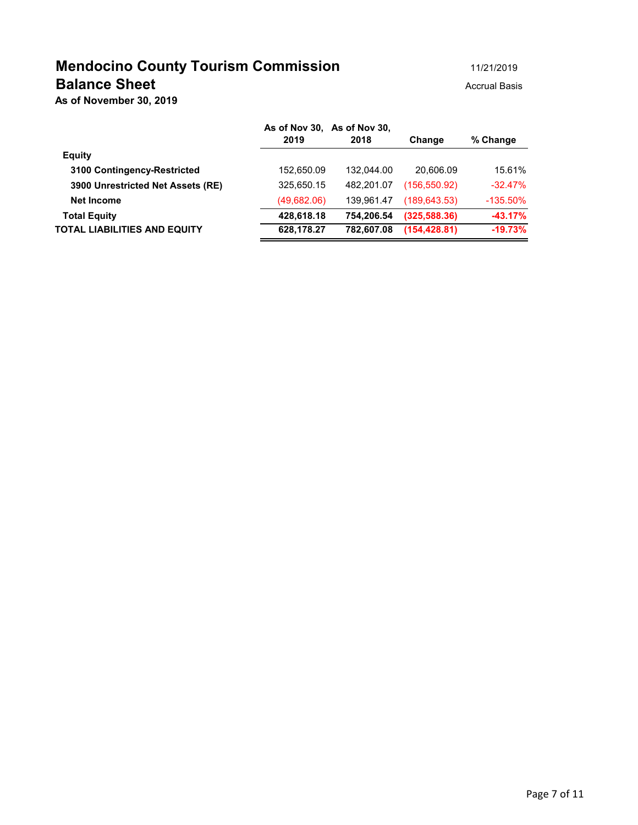# **Mendocino County Tourism Commission** 11/21/2019 **Balance Sheet** Accrual Basis Accrual Basis

**As of November 30, 2019**

|             |            |                                     | % Change    |
|-------------|------------|-------------------------------------|-------------|
|             |            |                                     |             |
| 152,650.09  | 132.044.00 | 20.606.09                           | 15.61%      |
| 325,650.15  | 482.201.07 | (156, 550.92)                       | $-32.47\%$  |
| (49,682.06) | 139,961.47 | (189, 643.53)                       | $-135.50\%$ |
| 428,618.18  | 754.206.54 | (325, 588.36)                       | $-43.17%$   |
| 628,178.27  | 782.607.08 | (154.428.81)                        | $-19.73%$   |
|             | 2019       | As of Nov 30, As of Nov 30,<br>2018 | Change      |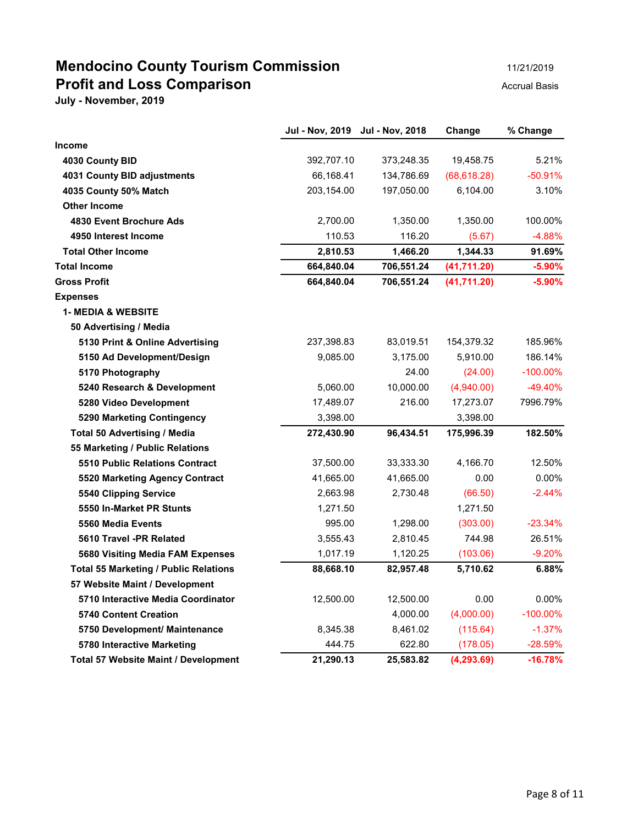# **Mendocino County Tourism Commission** 11/21/2019 **Profit and Loss Comparison Accrual Basis**

|  |  | 11/21/2019 |
|--|--|------------|
|  |  |            |

|                                              | Jul - Nov, 2019 Jul - Nov, 2018 |            | Change       | % Change    |
|----------------------------------------------|---------------------------------|------------|--------------|-------------|
| Income                                       |                                 |            |              |             |
| 4030 County BID                              | 392,707.10                      | 373,248.35 | 19,458.75    | 5.21%       |
| 4031 County BID adjustments                  | 66,168.41                       | 134,786.69 | (68, 618.28) | $-50.91%$   |
| 4035 County 50% Match                        | 203,154.00                      | 197,050.00 | 6,104.00     | 3.10%       |
| <b>Other Income</b>                          |                                 |            |              |             |
| 4830 Event Brochure Ads                      | 2,700.00                        | 1,350.00   | 1,350.00     | 100.00%     |
| 4950 Interest Income                         | 110.53                          | 116.20     | (5.67)       | $-4.88%$    |
| <b>Total Other Income</b>                    | 2,810.53                        | 1,466.20   | 1,344.33     | 91.69%      |
| <b>Total Income</b>                          | 664,840.04                      | 706,551.24 | (41,711.20)  | $-5.90%$    |
| <b>Gross Profit</b>                          | 664,840.04                      | 706,551.24 | (41,711.20)  | $-5.90%$    |
| <b>Expenses</b>                              |                                 |            |              |             |
| <b>1- MEDIA &amp; WEBSITE</b>                |                                 |            |              |             |
| 50 Advertising / Media                       |                                 |            |              |             |
| 5130 Print & Online Advertising              | 237,398.83                      | 83,019.51  | 154,379.32   | 185.96%     |
| 5150 Ad Development/Design                   | 9,085.00                        | 3,175.00   | 5,910.00     | 186.14%     |
| 5170 Photography                             |                                 | 24.00      | (24.00)      | $-100.00\%$ |
| 5240 Research & Development                  | 5,060.00                        | 10,000.00  | (4,940.00)   | $-49.40%$   |
| 5280 Video Development                       | 17,489.07                       | 216.00     | 17,273.07    | 7996.79%    |
| 5290 Marketing Contingency                   | 3,398.00                        |            | 3,398.00     |             |
| <b>Total 50 Advertising / Media</b>          | 272,430.90                      | 96,434.51  | 175,996.39   | 182.50%     |
| 55 Marketing / Public Relations              |                                 |            |              |             |
| <b>5510 Public Relations Contract</b>        | 37,500.00                       | 33,333.30  | 4,166.70     | 12.50%      |
| 5520 Marketing Agency Contract               | 41,665.00                       | 41,665.00  | 0.00         | 0.00%       |
| <b>5540 Clipping Service</b>                 | 2,663.98                        | 2,730.48   | (66.50)      | $-2.44%$    |
| 5550 In-Market PR Stunts                     | 1,271.50                        |            | 1,271.50     |             |
| 5560 Media Events                            | 995.00                          | 1,298.00   | (303.00)     | $-23.34%$   |
| 5610 Travel -PR Related                      | 3,555.43                        | 2,810.45   | 744.98       | 26.51%      |
| 5680 Visiting Media FAM Expenses             | 1,017.19                        | 1,120.25   | (103.06)     | $-9.20%$    |
| <b>Total 55 Marketing / Public Relations</b> | 88,668.10                       | 82,957.48  | 5,710.62     | 6.88%       |
| 57 Website Maint / Development               |                                 |            |              |             |
| 5710 Interactive Media Coordinator           | 12,500.00                       | 12,500.00  | 0.00         | $0.00\%$    |
| <b>5740 Content Creation</b>                 |                                 | 4,000.00   | (4,000.00)   | $-100.00\%$ |
| 5750 Development/ Maintenance                | 8,345.38                        | 8,461.02   | (115.64)     | $-1.37%$    |
| 5780 Interactive Marketing                   | 444.75                          | 622.80     | (178.05)     | $-28.59\%$  |
| Total 57 Website Maint / Development         | 21,290.13                       | 25,583.82  | (4, 293.69)  | $-16.78%$   |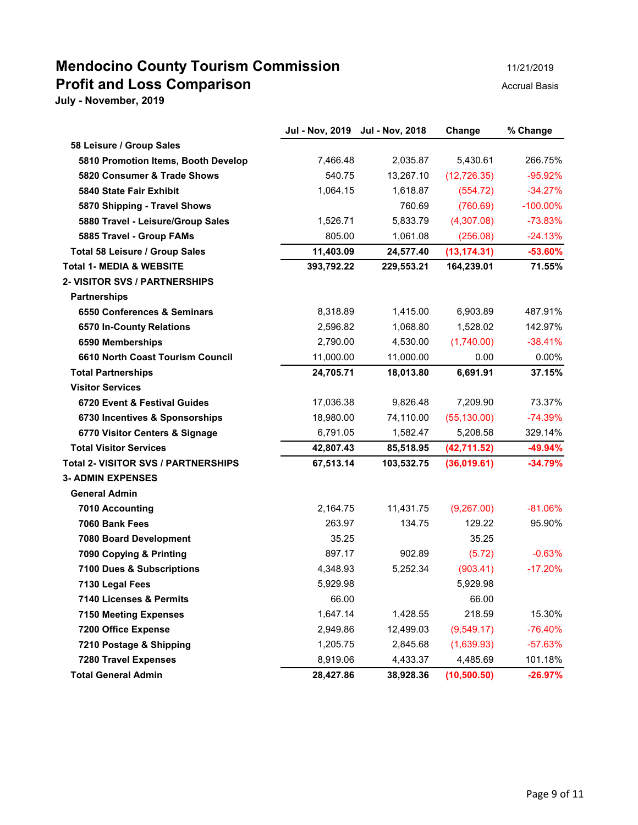## **Mendocino County Tourism Commission** 11/21/2019 **Profit and Loss Comparison** and **Profit and Loss Comparison**

|                                            | <b>Jul - Nov, 2019</b> | <b>Jul - Nov, 2018</b> | Change       | % Change    |
|--------------------------------------------|------------------------|------------------------|--------------|-------------|
| 58 Leisure / Group Sales                   |                        |                        |              |             |
| 5810 Promotion Items, Booth Develop        | 7,466.48               | 2,035.87               | 5,430.61     | 266.75%     |
| 5820 Consumer & Trade Shows                | 540.75                 | 13,267.10              | (12, 726.35) | $-95.92%$   |
| 5840 State Fair Exhibit                    | 1,064.15               | 1,618.87               | (554.72)     | $-34.27%$   |
| 5870 Shipping - Travel Shows               |                        | 760.69                 | (760.69)     | $-100.00\%$ |
| 5880 Travel - Leisure/Group Sales          | 1,526.71               | 5,833.79               | (4,307.08)   | $-73.83%$   |
| 5885 Travel - Group FAMs                   | 805.00                 | 1,061.08               | (256.08)     | $-24.13%$   |
| Total 58 Leisure / Group Sales             | 11,403.09              | 24,577.40              | (13, 174.31) | $-53.60%$   |
| <b>Total 1- MEDIA &amp; WEBSITE</b>        | 393,792.22             | 229,553.21             | 164,239.01   | 71.55%      |
| <b>2- VISITOR SVS / PARTNERSHIPS</b>       |                        |                        |              |             |
| <b>Partnerships</b>                        |                        |                        |              |             |
| 6550 Conferences & Seminars                | 8,318.89               | 1,415.00               | 6,903.89     | 487.91%     |
| 6570 In-County Relations                   | 2,596.82               | 1,068.80               | 1,528.02     | 142.97%     |
| 6590 Memberships                           | 2,790.00               | 4,530.00               | (1,740.00)   | $-38.41%$   |
| 6610 North Coast Tourism Council           | 11,000.00              | 11,000.00              | 0.00         | 0.00%       |
| <b>Total Partnerships</b>                  | 24,705.71              | 18,013.80              | 6,691.91     | 37.15%      |
| <b>Visitor Services</b>                    |                        |                        |              |             |
| 6720 Event & Festival Guides               | 17,036.38              | 9,826.48               | 7,209.90     | 73.37%      |
| 6730 Incentives & Sponsorships             | 18,980.00              | 74,110.00              | (55, 130.00) | $-74.39%$   |
| 6770 Visitor Centers & Signage             | 6,791.05               | 1,582.47               | 5,208.58     | 329.14%     |
| <b>Total Visitor Services</b>              | 42,807.43              | 85,518.95              | (42, 711.52) | $-49.94%$   |
| <b>Total 2- VISITOR SVS / PARTNERSHIPS</b> | 67,513.14              | 103,532.75             | (36,019.61)  | $-34.79%$   |
| <b>3- ADMIN EXPENSES</b>                   |                        |                        |              |             |
| <b>General Admin</b>                       |                        |                        |              |             |
| 7010 Accounting                            | 2,164.75               | 11,431.75              | (9,267.00)   | $-81.06%$   |
| 7060 Bank Fees                             | 263.97                 | 134.75                 | 129.22       | 95.90%      |
| 7080 Board Development                     | 35.25                  |                        | 35.25        |             |
| 7090 Copying & Printing                    | 897.17                 | 902.89                 | (5.72)       | $-0.63%$    |
| 7100 Dues & Subscriptions                  | 4,348.93               | 5,252.34               | (903.41)     | $-17.20%$   |
| 7130 Legal Fees                            | 5,929.98               |                        | 5,929.98     |             |
| 7140 Licenses & Permits                    | 66.00                  |                        | 66.00        |             |
| <b>7150 Meeting Expenses</b>               | 1,647.14               | 1,428.55               | 218.59       | 15.30%      |
| 7200 Office Expense                        | 2,949.86               | 12,499.03              | (9,549.17)   | $-76.40%$   |
| 7210 Postage & Shipping                    | 1,205.75               | 2,845.68               | (1,639.93)   | $-57.63%$   |
| <b>7280 Travel Expenses</b>                | 8,919.06               | 4,433.37               | 4,485.69     | 101.18%     |
| <b>Total General Admin</b>                 | 28,427.86              | 38,928.36              | (10, 500.50) | $-26.97%$   |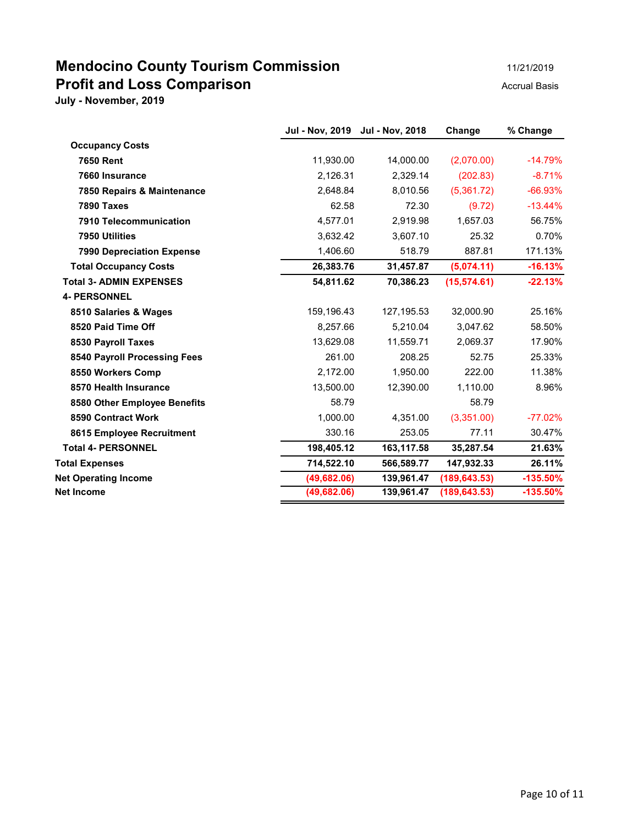# **Mendocino County Tourism Commission Profit and Loss Comparison Accrual Basis**

| 11/21/2019 |
|------------|
|------------|

|                                  | Jul - Nov, 2019 Jul - Nov, 2018 |            | Change        | % Change   |
|----------------------------------|---------------------------------|------------|---------------|------------|
| <b>Occupancy Costs</b>           |                                 |            |               |            |
| <b>7650 Rent</b>                 | 11,930.00                       | 14.000.00  | (2,070.00)    | $-14.79%$  |
| 7660 Insurance                   | 2.126.31                        | 2,329.14   | (202.83)      | $-8.71%$   |
| 7850 Repairs & Maintenance       | 2,648.84                        | 8,010.56   | (5,361.72)    | $-66.93%$  |
| 7890 Taxes                       | 62.58                           | 72.30      | (9.72)        | $-13.44%$  |
| 7910 Telecommunication           | 4,577.01                        | 2,919.98   | 1,657.03      | 56.75%     |
| 7950 Utilities                   | 3,632.42                        | 3,607.10   | 25.32         | 0.70%      |
| <b>7990 Depreciation Expense</b> | 1,406.60                        | 518.79     | 887.81        | 171.13%    |
| <b>Total Occupancy Costs</b>     | 26,383.76                       | 31,457.87  | (5,074.11)    | $-16.13%$  |
| <b>Total 3- ADMIN EXPENSES</b>   | 54,811.62                       | 70,386.23  | (15, 574.61)  | $-22.13%$  |
| <b>4- PERSONNEL</b>              |                                 |            |               |            |
| 8510 Salaries & Wages            | 159,196.43                      | 127,195.53 | 32,000.90     | 25.16%     |
| 8520 Paid Time Off               | 8,257.66                        | 5,210.04   | 3,047.62      | 58.50%     |
| 8530 Payroll Taxes               | 13,629.08                       | 11,559.71  | 2,069.37      | 17.90%     |
| 8540 Payroll Processing Fees     | 261.00                          | 208.25     | 52.75         | 25.33%     |
| 8550 Workers Comp                | 2,172.00                        | 1,950.00   | 222.00        | 11.38%     |
| 8570 Health Insurance            | 13,500.00                       | 12,390.00  | 1,110.00      | 8.96%      |
| 8580 Other Employee Benefits     | 58.79                           |            | 58.79         |            |
| 8590 Contract Work               | 1,000.00                        | 4,351.00   | (3,351.00)    | $-77.02%$  |
| 8615 Employee Recruitment        | 330.16                          | 253.05     | 77.11         | 30.47%     |
| <b>Total 4- PERSONNEL</b>        | 198,405.12                      | 163,117.58 | 35,287.54     | 21.63%     |
| <b>Total Expenses</b>            | 714,522.10                      | 566,589.77 | 147,932.33    | 26.11%     |
| <b>Net Operating Income</b>      | (49, 682.06)                    | 139,961.47 | (189, 643.53) | $-135.50%$ |
| <b>Net Income</b>                | (49, 682.06)                    | 139,961.47 | (189, 643.53) | $-135.50%$ |
|                                  |                                 |            |               |            |